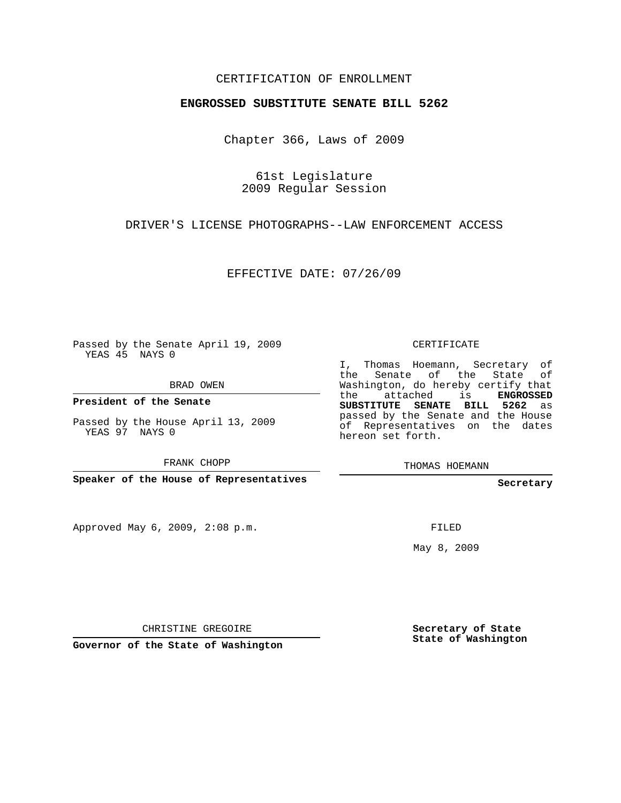## CERTIFICATION OF ENROLLMENT

## **ENGROSSED SUBSTITUTE SENATE BILL 5262**

Chapter 366, Laws of 2009

61st Legislature 2009 Regular Session

DRIVER'S LICENSE PHOTOGRAPHS--LAW ENFORCEMENT ACCESS

EFFECTIVE DATE: 07/26/09

Passed by the Senate April 19, 2009 YEAS 45 NAYS 0

BRAD OWEN

**President of the Senate**

Passed by the House April 13, 2009 YEAS 97 NAYS 0

FRANK CHOPP

**Speaker of the House of Representatives**

Approved May 6, 2009, 2:08 p.m.

CERTIFICATE

I, Thomas Hoemann, Secretary of the Senate of the State of Washington, do hereby certify that the attached is **ENGROSSED SUBSTITUTE SENATE BILL 5262** as passed by the Senate and the House of Representatives on the dates hereon set forth.

THOMAS HOEMANN

**Secretary**

FILED

May 8, 2009

CHRISTINE GREGOIRE

**Governor of the State of Washington**

**Secretary of State State of Washington**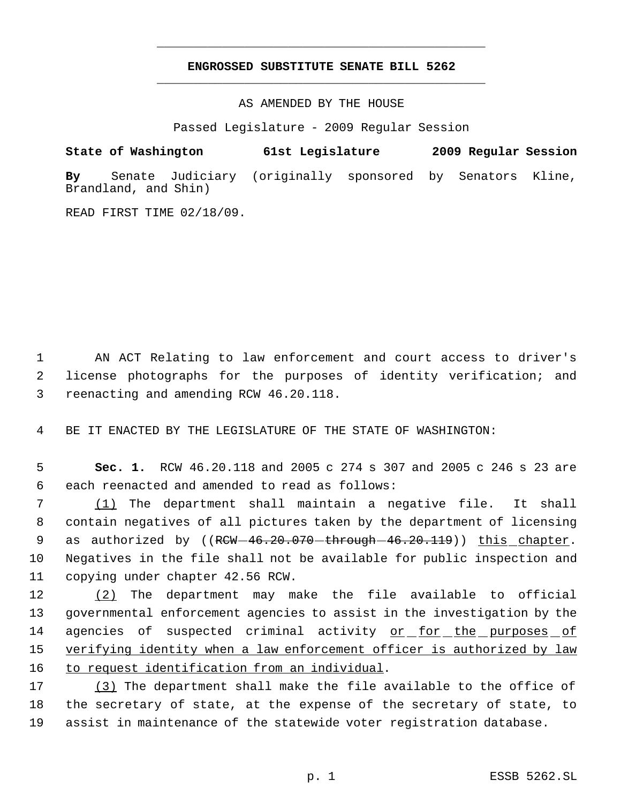## **ENGROSSED SUBSTITUTE SENATE BILL 5262** \_\_\_\_\_\_\_\_\_\_\_\_\_\_\_\_\_\_\_\_\_\_\_\_\_\_\_\_\_\_\_\_\_\_\_\_\_\_\_\_\_\_\_\_\_

\_\_\_\_\_\_\_\_\_\_\_\_\_\_\_\_\_\_\_\_\_\_\_\_\_\_\_\_\_\_\_\_\_\_\_\_\_\_\_\_\_\_\_\_\_

AS AMENDED BY THE HOUSE

Passed Legislature - 2009 Regular Session

## **State of Washington 61st Legislature 2009 Regular Session**

**By** Senate Judiciary (originally sponsored by Senators Kline, Brandland, and Shin)

READ FIRST TIME 02/18/09.

 1 AN ACT Relating to law enforcement and court access to driver's 2 license photographs for the purposes of identity verification; and 3 reenacting and amending RCW 46.20.118.

4 BE IT ENACTED BY THE LEGISLATURE OF THE STATE OF WASHINGTON:

 5 **Sec. 1.** RCW 46.20.118 and 2005 c 274 s 307 and 2005 c 246 s 23 are 6 each reenacted and amended to read as follows:

 (1) The department shall maintain a negative file. It shall contain negatives of all pictures taken by the department of licensing 9 as authorized by ((RCW-46.20.070-through-46.20.119)) this chapter. Negatives in the file shall not be available for public inspection and copying under chapter 42.56 RCW.

12 (2) The department may make the file available to official 13 governmental enforcement agencies to assist in the investigation by the 14 agencies of suspected criminal activity <u>or for the purposes of</u> 15 verifying identity when a law enforcement officer is authorized by law 16 to request identification from an individual.

17 (3) The department shall make the file available to the office of 18 the secretary of state, at the expense of the secretary of state, to 19 assist in maintenance of the statewide voter registration database.